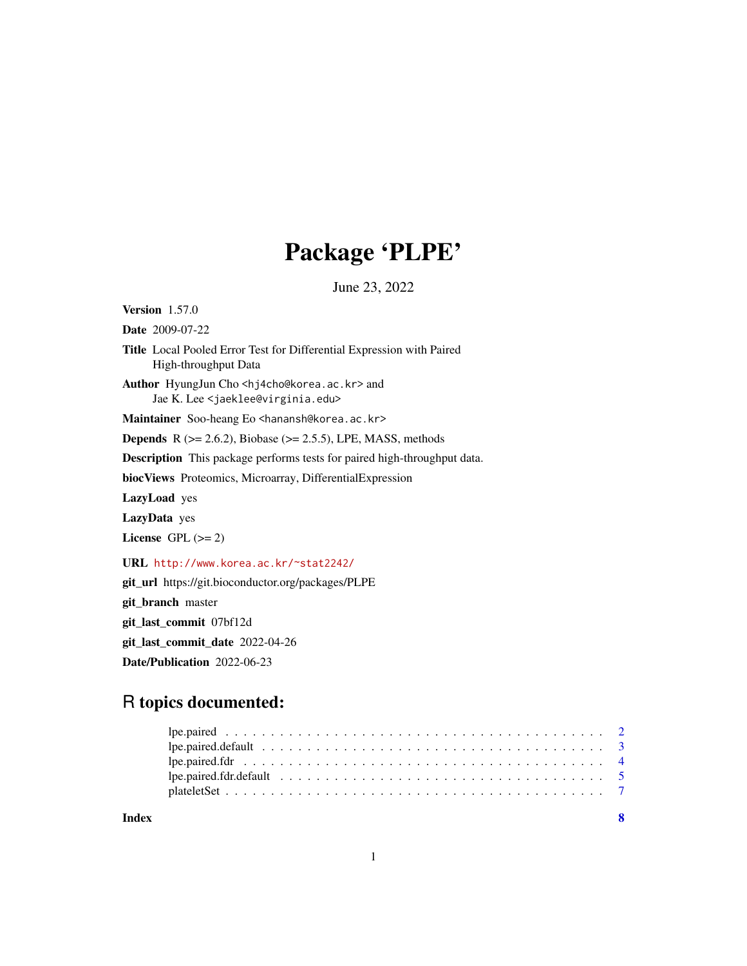## Package 'PLPE'

June 23, 2022

Version 1.57.0 Date 2009-07-22 Title Local Pooled Error Test for Differential Expression with Paired High-throughput Data Author HyungJun Cho <hj4cho@korea.ac.kr> and Jae K. Lee <jaeklee@virginia.edu> Maintainer Soo-heang Eo <hanansh@korea.ac.kr> **Depends** R  $(>= 2.6.2)$ , Biobase  $(>= 2.5.5)$ , LPE, MASS, methods Description This package performs tests for paired high-throughput data. biocViews Proteomics, Microarray, DifferentialExpression LazyLoad yes LazyData yes License GPL  $(>= 2)$ URL <http://www.korea.ac.kr/~stat2242/> git\_url https://git.bioconductor.org/packages/PLPE git\_branch master git\_last\_commit 07bf12d

git\_last\_commit\_date 2022-04-26

Date/Publication 2022-06-23

## R topics documented:

| Index |  |
|-------|--|
|       |  |
|       |  |
|       |  |
|       |  |
|       |  |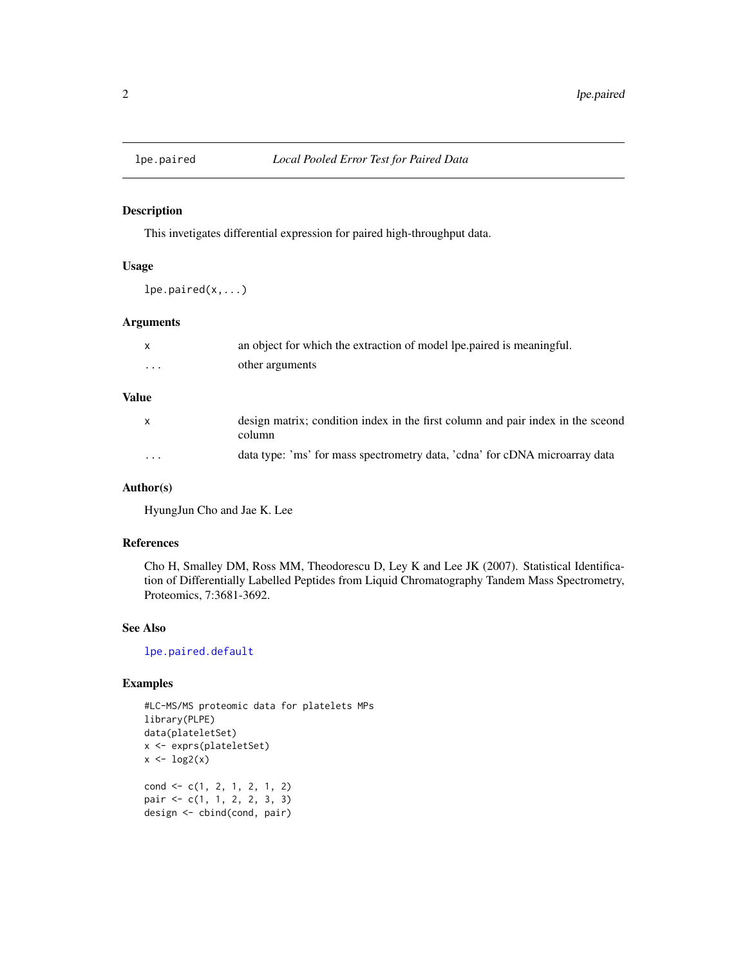<span id="page-1-1"></span><span id="page-1-0"></span>

#### Description

This invetigates differential expression for paired high-throughput data.

#### Usage

lpe.paired(x,...)

#### Arguments

|          | an object for which the extraction of model lpe paired is meaningful. |
|----------|-----------------------------------------------------------------------|
| $\cdots$ | other arguments                                                       |

## Value

| X        | design matrix; condition index in the first column and pair index in the sceond<br>column |
|----------|-------------------------------------------------------------------------------------------|
| $\cdots$ | data type: 'ms' for mass spectrometry data, 'cdna' for cDNA microarray data               |

## Author(s)

HyungJun Cho and Jae K. Lee

## References

Cho H, Smalley DM, Ross MM, Theodorescu D, Ley K and Lee JK (2007). Statistical Identification of Differentially Labelled Peptides from Liquid Chromatography Tandem Mass Spectrometry, Proteomics, 7:3681-3692.

#### See Also

[lpe.paired.default](#page-2-1)

## Examples

```
#LC-MS/MS proteomic data for platelets MPs
library(PLPE)
data(plateletSet)
x <- exprs(plateletSet)
x \leftarrow \log 2(x)cond <- c(1, 2, 1, 2, 1, 2)
pair <- c(1, 1, 2, 2, 3, 3)
design <- cbind(cond, pair)
```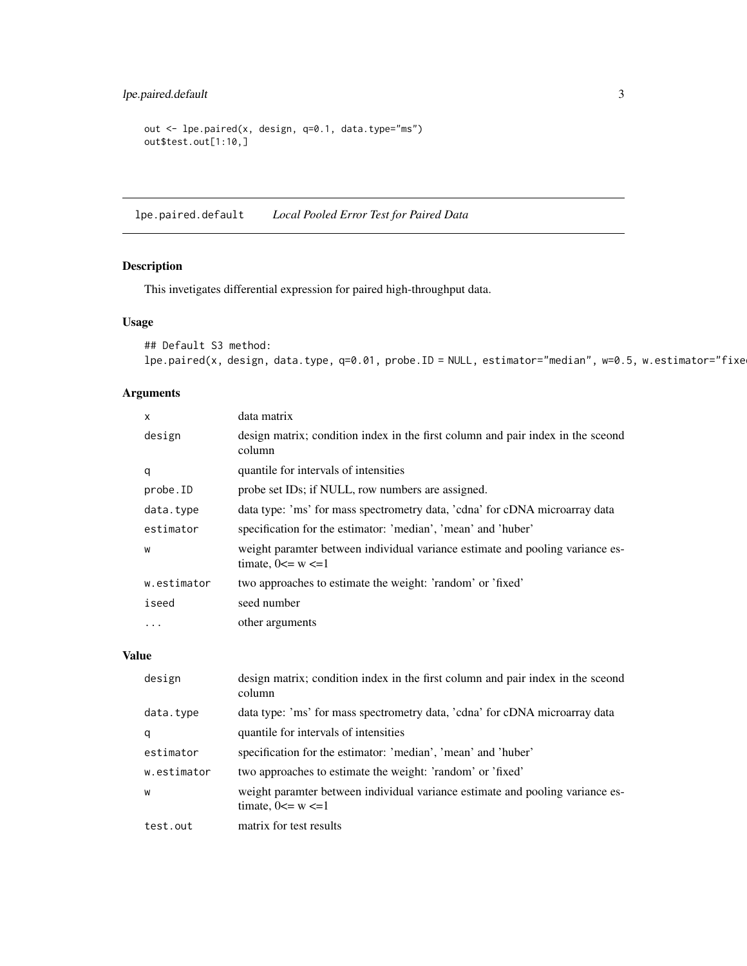## <span id="page-2-0"></span>lpe.paired.default 3

```
out <- lpe.paired(x, design, q=0.1, data.type="ms")
out$test.out[1:10,]
```
<span id="page-2-1"></span>lpe.paired.default *Local Pooled Error Test for Paired Data*

## Description

This invetigates differential expression for paired high-throughput data.

#### Usage

```
## Default S3 method:
lpe.paired(x, design, data.type, q=0.01, probe.ID = NULL, estimator="median", w=0.5, w.estimator="fixe
```
## Arguments

| X           | data matrix                                                                                              |
|-------------|----------------------------------------------------------------------------------------------------------|
| design      | design matrix; condition index in the first column and pair index in the sceond<br>column                |
| q           | quantile for intervals of intensities                                                                    |
| probe.ID    | probe set IDs; if NULL, row numbers are assigned.                                                        |
| data.type   | data type: 'ms' for mass spectrometry data, 'cdna' for cDNA microarray data                              |
| estimator   | specification for the estimator: 'median', 'mean' and 'huber'                                            |
| W           | weight paramter between individual variance estimate and pooling variance es-<br>timate, $0 \le w \le 1$ |
| w.estimator | two approaches to estimate the weight: 'random' or 'fixed'                                               |
| iseed       | seed number                                                                                              |
| $\ddotsc$   | other arguments                                                                                          |

#### Value

| design      | design matrix; condition index in the first column and pair index in the sceond<br>column                |
|-------------|----------------------------------------------------------------------------------------------------------|
| data.type   | data type: 'ms' for mass spectrometry data, 'cdna' for cDNA microarray data                              |
| q           | quantile for intervals of intensities                                                                    |
| estimator   | specification for the estimator: 'median', 'mean' and 'huber'                                            |
| w.estimator | two approaches to estimate the weight: 'random' or 'fixed'                                               |
| W           | weight paramter between individual variance estimate and pooling variance es-<br>timate, $0 \le w \le 1$ |
| test.out    | matrix for test results                                                                                  |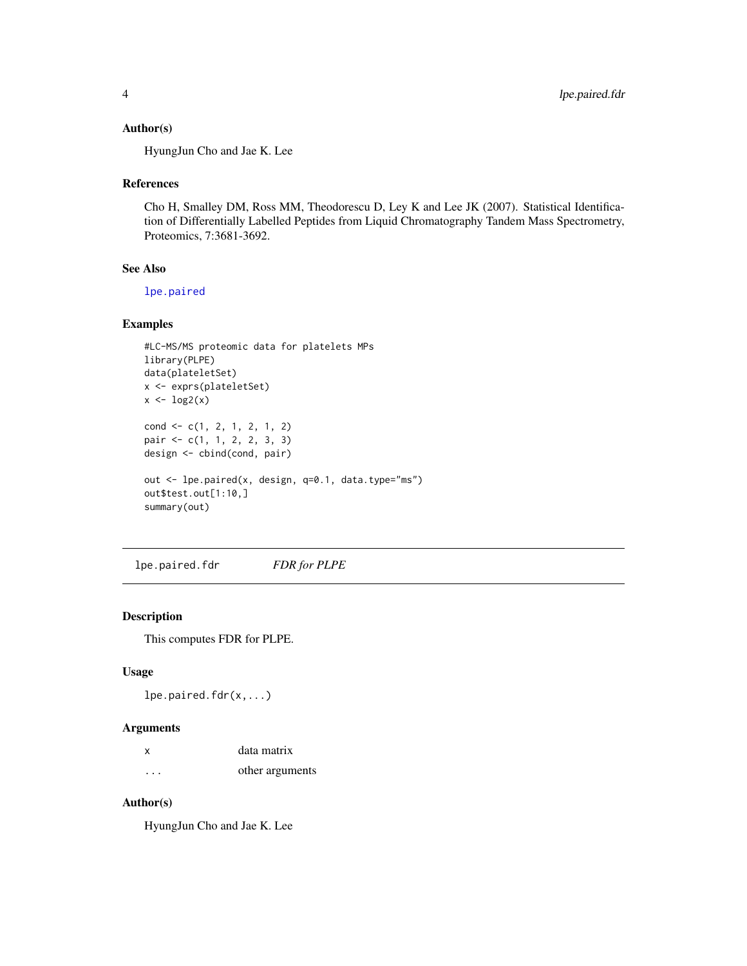#### <span id="page-3-0"></span>Author(s)

HyungJun Cho and Jae K. Lee

#### References

Cho H, Smalley DM, Ross MM, Theodorescu D, Ley K and Lee JK (2007). Statistical Identification of Differentially Labelled Peptides from Liquid Chromatography Tandem Mass Spectrometry, Proteomics, 7:3681-3692.

## See Also

[lpe.paired](#page-1-1)

#### Examples

```
#LC-MS/MS proteomic data for platelets MPs
library(PLPE)
data(plateletSet)
x <- exprs(plateletSet)
x \leftarrow \log 2(x)cond <- c(1, 2, 1, 2, 1, 2)
pair <- c(1, 1, 2, 2, 3, 3)
design <- cbind(cond, pair)
out <- lpe.paired(x, design, q=0.1, data.type="ms")
out$test.out[1:10,]
summary(out)
```
<span id="page-3-1"></span>lpe.paired.fdr *FDR for PLPE*

## Description

This computes FDR for PLPE.

#### Usage

lpe.paired.fdr(x,...)

#### Arguments

| x        | data matrix     |
|----------|-----------------|
| $\cdots$ | other arguments |

#### Author(s)

HyungJun Cho and Jae K. Lee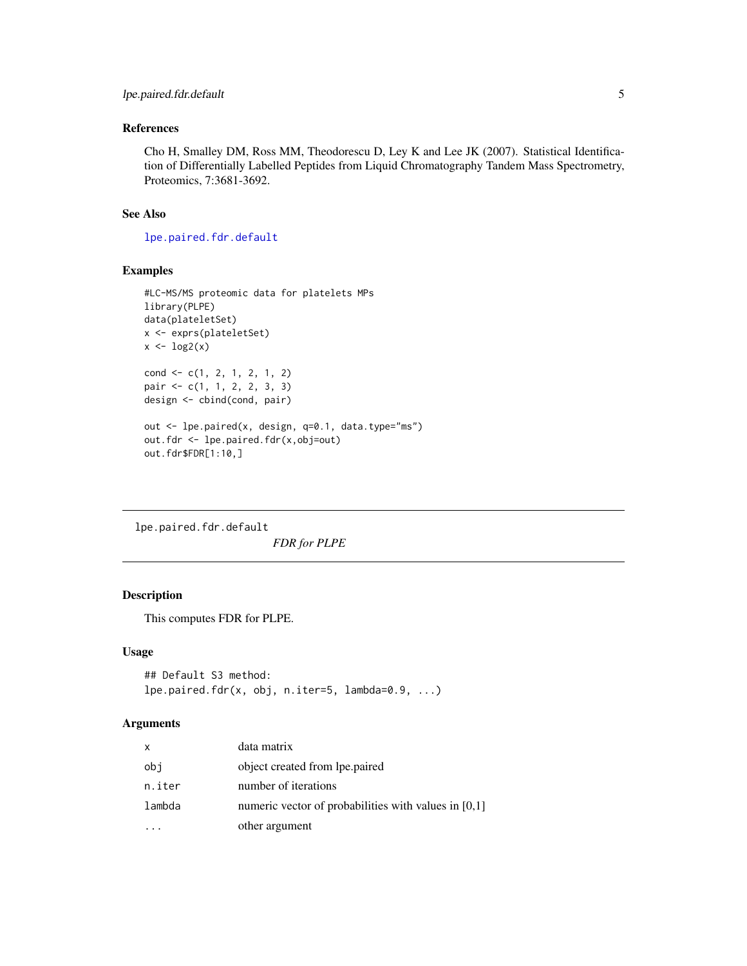## <span id="page-4-0"></span>References

Cho H, Smalley DM, Ross MM, Theodorescu D, Ley K and Lee JK (2007). Statistical Identification of Differentially Labelled Peptides from Liquid Chromatography Tandem Mass Spectrometry, Proteomics, 7:3681-3692.

#### See Also

[lpe.paired.fdr.default](#page-4-1)

## Examples

```
#LC-MS/MS proteomic data for platelets MPs
library(PLPE)
data(plateletSet)
x <- exprs(plateletSet)
x \leftarrow \log 2(x)cond <- c(1, 2, 1, 2, 1, 2)
pair <- c(1, 1, 2, 2, 3, 3)
design <- cbind(cond, pair)
out <- lpe.paired(x, design, q=0.1, data.type="ms")
out.fdr <- lpe.paired.fdr(x,obj=out)
out.fdr$FDR[1:10,]
```
<span id="page-4-1"></span>lpe.paired.fdr.default *FDR for PLPE*

#### Description

This computes FDR for PLPE.

#### Usage

```
## Default S3 method:
lpe.paired.fdr(x, obj, n.iter=5, lambda=0.9, ...)
```
#### Arguments

| x      | data matrix                                          |
|--------|------------------------------------------------------|
| obi    | object created from lpe.paired                       |
| n.iter | number of iterations                                 |
| lambda | numeric vector of probabilities with values in [0,1] |
|        | other argument                                       |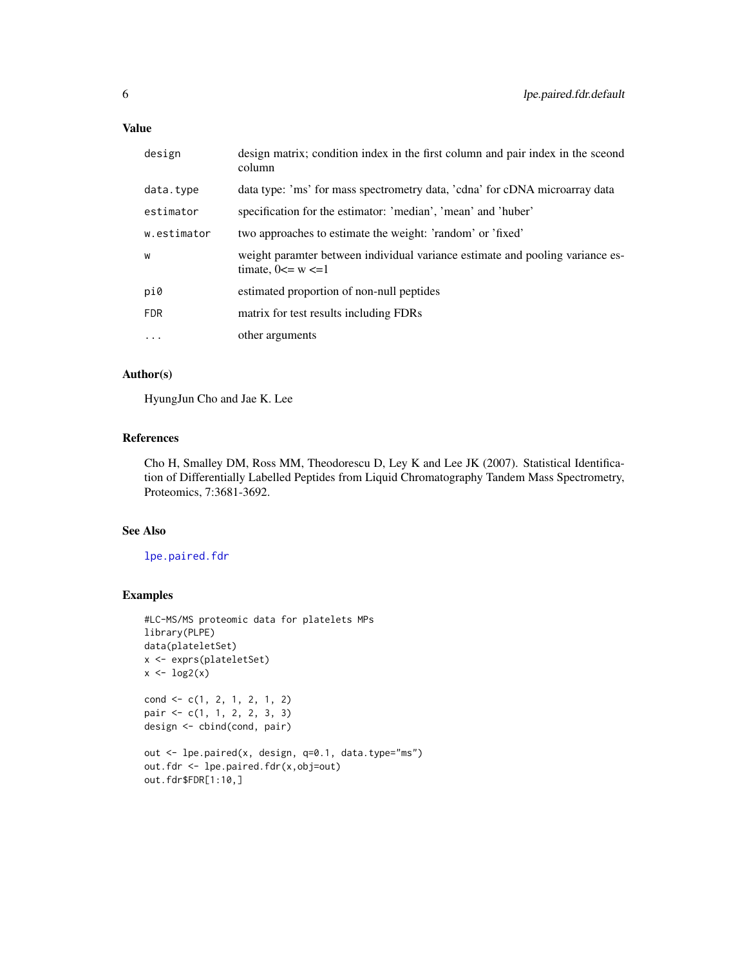## <span id="page-5-0"></span>Value

| design      | design matrix; condition index in the first column and pair index in the sceond<br>column                |
|-------------|----------------------------------------------------------------------------------------------------------|
| data.type   | data type: 'ms' for mass spectrometry data, 'cdna' for cDNA microarray data                              |
| estimator   | specification for the estimator: 'median', 'mean' and 'huber'                                            |
| w.estimator | two approaches to estimate the weight: 'random' or 'fixed'                                               |
| W           | weight paramter between individual variance estimate and pooling variance es-<br>timate, $0 \le w \le 1$ |
| pi0         | estimated proportion of non-null peptides                                                                |
| <b>FDR</b>  | matrix for test results including FDRs                                                                   |
| $\cdots$    | other arguments                                                                                          |

#### Author(s)

HyungJun Cho and Jae K. Lee

## References

Cho H, Smalley DM, Ross MM, Theodorescu D, Ley K and Lee JK (2007). Statistical Identification of Differentially Labelled Peptides from Liquid Chromatography Tandem Mass Spectrometry, Proteomics, 7:3681-3692.

#### See Also

[lpe.paired.fdr](#page-3-1)

#### Examples

```
#LC-MS/MS proteomic data for platelets MPs
library(PLPE)
data(plateletSet)
x <- exprs(plateletSet)
x \leftarrow \log 2(x)cond <- c(1, 2, 1, 2, 1, 2)
pair <- c(1, 1, 2, 2, 3, 3)
design <- cbind(cond, pair)
out <- lpe.paired(x, design, q=0.1, data.type="ms")
out.fdr <- lpe.paired.fdr(x,obj=out)
out.fdr$FDR[1:10,]
```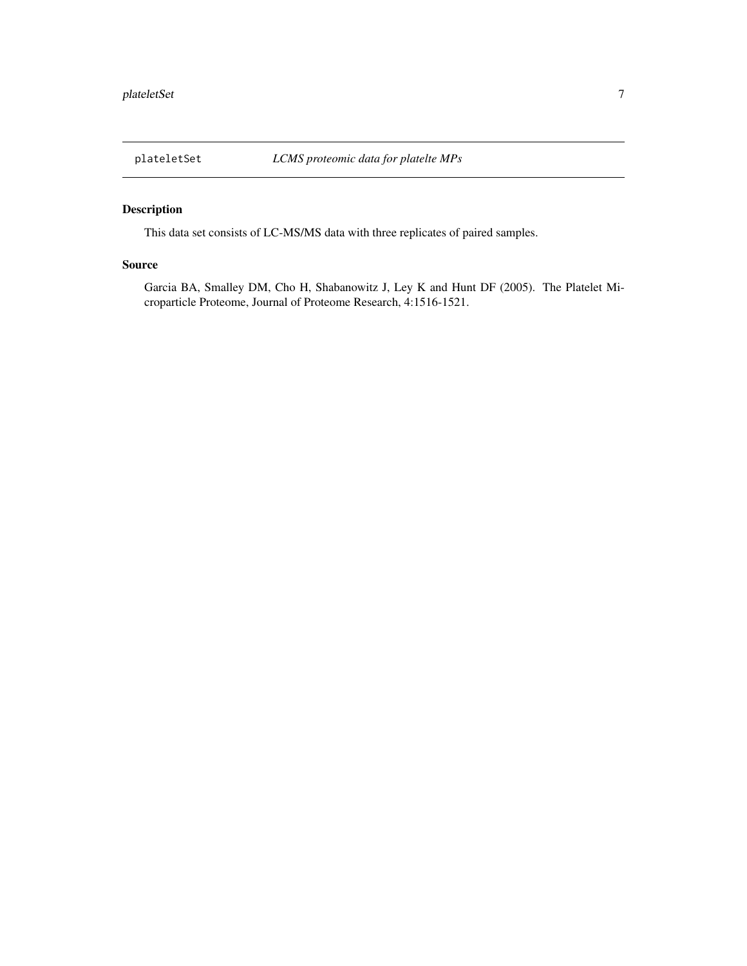<span id="page-6-0"></span>

## Description

This data set consists of LC-MS/MS data with three replicates of paired samples.

#### Source

Garcia BA, Smalley DM, Cho H, Shabanowitz J, Ley K and Hunt DF (2005). The Platelet Microparticle Proteome, Journal of Proteome Research, 4:1516-1521.